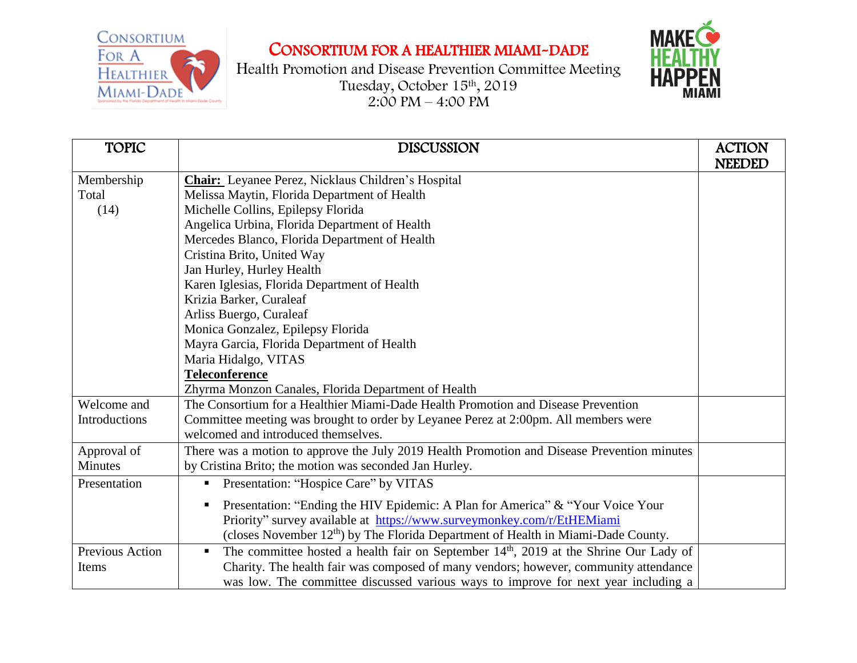CONSORTIUM FOR A HEALTHIER MIAMI-DADE

CONSORTIUM FOR A HEALTHIER MIAMI-DADE



Health Promotion and Disease Prevention Committee Meeting Tuesday, October 15th , 2019  $2:00 \text{ PM} - 4:00 \text{ PM}$ 

| <b>DISCUSSION</b>                                                                   | <b>ACTION</b>                                                                                                                                                                                                                                                                                                                                                                                                                                                                                                                                                                                                                                                                                                      |
|-------------------------------------------------------------------------------------|--------------------------------------------------------------------------------------------------------------------------------------------------------------------------------------------------------------------------------------------------------------------------------------------------------------------------------------------------------------------------------------------------------------------------------------------------------------------------------------------------------------------------------------------------------------------------------------------------------------------------------------------------------------------------------------------------------------------|
|                                                                                     | <b>NEEDED</b>                                                                                                                                                                                                                                                                                                                                                                                                                                                                                                                                                                                                                                                                                                      |
| <b>Chair:</b> Leyanee Perez, Nicklaus Children's Hospital                           |                                                                                                                                                                                                                                                                                                                                                                                                                                                                                                                                                                                                                                                                                                                    |
| Melissa Maytin, Florida Department of Health                                        |                                                                                                                                                                                                                                                                                                                                                                                                                                                                                                                                                                                                                                                                                                                    |
| Michelle Collins, Epilepsy Florida                                                  |                                                                                                                                                                                                                                                                                                                                                                                                                                                                                                                                                                                                                                                                                                                    |
| Angelica Urbina, Florida Department of Health                                       |                                                                                                                                                                                                                                                                                                                                                                                                                                                                                                                                                                                                                                                                                                                    |
| Mercedes Blanco, Florida Department of Health                                       |                                                                                                                                                                                                                                                                                                                                                                                                                                                                                                                                                                                                                                                                                                                    |
| Cristina Brito, United Way                                                          |                                                                                                                                                                                                                                                                                                                                                                                                                                                                                                                                                                                                                                                                                                                    |
| Jan Hurley, Hurley Health                                                           |                                                                                                                                                                                                                                                                                                                                                                                                                                                                                                                                                                                                                                                                                                                    |
| Karen Iglesias, Florida Department of Health                                        |                                                                                                                                                                                                                                                                                                                                                                                                                                                                                                                                                                                                                                                                                                                    |
| Krizia Barker, Curaleaf                                                             |                                                                                                                                                                                                                                                                                                                                                                                                                                                                                                                                                                                                                                                                                                                    |
| Arliss Buergo, Curaleaf                                                             |                                                                                                                                                                                                                                                                                                                                                                                                                                                                                                                                                                                                                                                                                                                    |
|                                                                                     |                                                                                                                                                                                                                                                                                                                                                                                                                                                                                                                                                                                                                                                                                                                    |
|                                                                                     |                                                                                                                                                                                                                                                                                                                                                                                                                                                                                                                                                                                                                                                                                                                    |
| Maria Hidalgo, VITAS                                                                |                                                                                                                                                                                                                                                                                                                                                                                                                                                                                                                                                                                                                                                                                                                    |
| <b>Teleconference</b>                                                               |                                                                                                                                                                                                                                                                                                                                                                                                                                                                                                                                                                                                                                                                                                                    |
| Zhyrma Monzon Canales, Florida Department of Health                                 |                                                                                                                                                                                                                                                                                                                                                                                                                                                                                                                                                                                                                                                                                                                    |
| The Consortium for a Healthier Miami-Dade Health Promotion and Disease Prevention   |                                                                                                                                                                                                                                                                                                                                                                                                                                                                                                                                                                                                                                                                                                                    |
| Committee meeting was brought to order by Leyanee Perez at 2:00pm. All members were |                                                                                                                                                                                                                                                                                                                                                                                                                                                                                                                                                                                                                                                                                                                    |
| welcomed and introduced themselves.                                                 |                                                                                                                                                                                                                                                                                                                                                                                                                                                                                                                                                                                                                                                                                                                    |
|                                                                                     |                                                                                                                                                                                                                                                                                                                                                                                                                                                                                                                                                                                                                                                                                                                    |
| by Cristina Brito; the motion was seconded Jan Hurley.                              |                                                                                                                                                                                                                                                                                                                                                                                                                                                                                                                                                                                                                                                                                                                    |
| Presentation: "Hospice Care" by VITAS                                               |                                                                                                                                                                                                                                                                                                                                                                                                                                                                                                                                                                                                                                                                                                                    |
|                                                                                     |                                                                                                                                                                                                                                                                                                                                                                                                                                                                                                                                                                                                                                                                                                                    |
|                                                                                     |                                                                                                                                                                                                                                                                                                                                                                                                                                                                                                                                                                                                                                                                                                                    |
|                                                                                     |                                                                                                                                                                                                                                                                                                                                                                                                                                                                                                                                                                                                                                                                                                                    |
| $\blacksquare$                                                                      |                                                                                                                                                                                                                                                                                                                                                                                                                                                                                                                                                                                                                                                                                                                    |
|                                                                                     |                                                                                                                                                                                                                                                                                                                                                                                                                                                                                                                                                                                                                                                                                                                    |
|                                                                                     |                                                                                                                                                                                                                                                                                                                                                                                                                                                                                                                                                                                                                                                                                                                    |
|                                                                                     | Monica Gonzalez, Epilepsy Florida<br>Mayra Garcia, Florida Department of Health<br>There was a motion to approve the July 2019 Health Promotion and Disease Prevention minutes<br>Presentation: "Ending the HIV Epidemic: A Plan for America" & "Your Voice Your"<br>Priority" survey available at https://www.surveymonkey.com/r/EtHEMiami<br>(closes November 12 <sup>th</sup> ) by The Florida Department of Health in Miami-Dade County.<br>The committee hosted a health fair on September 14th, 2019 at the Shrine Our Lady of<br>Charity. The health fair was composed of many vendors; however, community attendance<br>was low. The committee discussed various ways to improve for next year including a |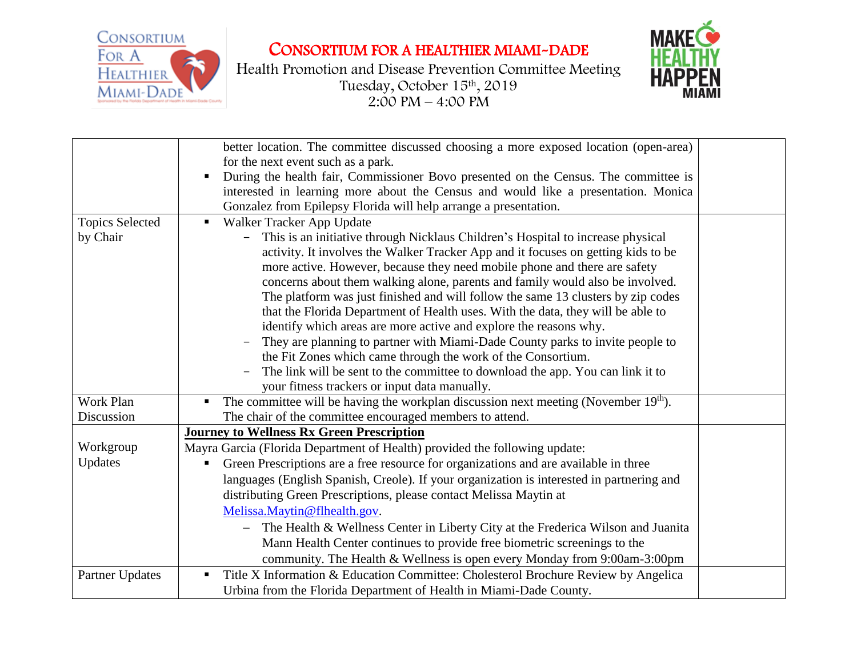

CONSORTIUM FOR A HEALTHIER MIAMI-DADE

Health Promotion and Disease Prevention Committee Meeting Tuesday, October 15th , 2019  $2:00 \text{ PM} - 4:00 \text{ PM}$ 



|                        | better location. The committee discussed choosing a more exposed location (open-area)<br>for the next event such as a park.<br>During the health fair, Commissioner Bovo presented on the Census. The committee is<br>interested in learning more about the Census and would like a presentation. Monica<br>Gonzalez from Epilepsy Florida will help arrange a presentation. |  |
|------------------------|------------------------------------------------------------------------------------------------------------------------------------------------------------------------------------------------------------------------------------------------------------------------------------------------------------------------------------------------------------------------------|--|
| <b>Topics Selected</b> | Walker Tracker App Update                                                                                                                                                                                                                                                                                                                                                    |  |
| by Chair               | This is an initiative through Nicklaus Children's Hospital to increase physical<br>activity. It involves the Walker Tracker App and it focuses on getting kids to be                                                                                                                                                                                                         |  |
|                        | more active. However, because they need mobile phone and there are safety                                                                                                                                                                                                                                                                                                    |  |
|                        | concerns about them walking alone, parents and family would also be involved.                                                                                                                                                                                                                                                                                                |  |
|                        | The platform was just finished and will follow the same 13 clusters by zip codes                                                                                                                                                                                                                                                                                             |  |
|                        | that the Florida Department of Health uses. With the data, they will be able to                                                                                                                                                                                                                                                                                              |  |
|                        | identify which areas are more active and explore the reasons why.                                                                                                                                                                                                                                                                                                            |  |
|                        | They are planning to partner with Miami-Dade County parks to invite people to                                                                                                                                                                                                                                                                                                |  |
|                        | the Fit Zones which came through the work of the Consortium.                                                                                                                                                                                                                                                                                                                 |  |
|                        | The link will be sent to the committee to download the app. You can link it to                                                                                                                                                                                                                                                                                               |  |
|                        | your fitness trackers or input data manually.                                                                                                                                                                                                                                                                                                                                |  |
| Work Plan              | The committee will be having the workplan discussion next meeting (November $19th$ ).                                                                                                                                                                                                                                                                                        |  |
| Discussion             | The chair of the committee encouraged members to attend.                                                                                                                                                                                                                                                                                                                     |  |
|                        | <b>Journey to Wellness Rx Green Prescription</b>                                                                                                                                                                                                                                                                                                                             |  |
| Workgroup              | Mayra Garcia (Florida Department of Health) provided the following update:                                                                                                                                                                                                                                                                                                   |  |
| Updates                | Green Prescriptions are a free resource for organizations and are available in three                                                                                                                                                                                                                                                                                         |  |
|                        | languages (English Spanish, Creole). If your organization is interested in partnering and                                                                                                                                                                                                                                                                                    |  |
|                        | distributing Green Prescriptions, please contact Melissa Maytin at                                                                                                                                                                                                                                                                                                           |  |
|                        | Melissa.Maytin@flhealth.gov.                                                                                                                                                                                                                                                                                                                                                 |  |
|                        | The Health & Wellness Center in Liberty City at the Frederica Wilson and Juanita                                                                                                                                                                                                                                                                                             |  |
|                        | Mann Health Center continues to provide free biometric screenings to the                                                                                                                                                                                                                                                                                                     |  |
|                        | community. The Health & Wellness is open every Monday from 9:00am-3:00pm                                                                                                                                                                                                                                                                                                     |  |
| <b>Partner Updates</b> | Title X Information & Education Committee: Cholesterol Brochure Review by Angelica                                                                                                                                                                                                                                                                                           |  |
|                        | Urbina from the Florida Department of Health in Miami-Dade County.                                                                                                                                                                                                                                                                                                           |  |